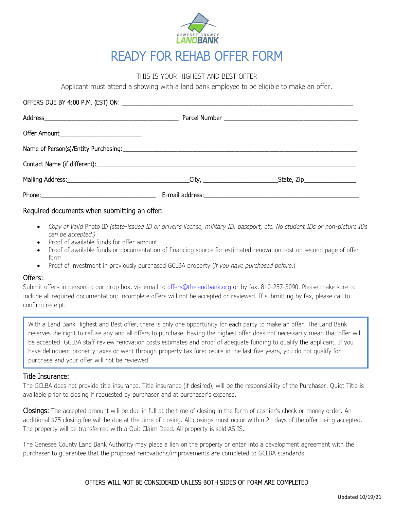

# THIS IS YOUR HIGHEST AND BEST OFFER

Applicant must attend a showing with a land bank employee to be eligible to make an offer.

| Offer Amount_______________________________ |                                          |
|---------------------------------------------|------------------------------------------|
|                                             |                                          |
|                                             |                                          |
|                                             | $\text{State}$ , Zip____________________ |
|                                             |                                          |

# Required documents when submitting an offer:

- *Copy of Valid* Photo ID *(state-issued ID or driver's license, military ID, passport, etc. No student IDs or non-picture IDs can be accepted.)*
- Proof of available funds for offer amount
- Proof of available funds or documentation of financing source for estimated renovation cost on second page of offer form
- Proof of investment in previously purchased GCLBA property (*if you have purchased before*.)

## Offers:

Submit offers in person to our drop box, via email to [offers@thelandbank.org](mailto:offers@thelandbank.org) or by fax, 810-257-3090. Please make sure to include all required documentation; incomplete offers will not be accepted or reviewed. If submitting by fax, please call to confirm receipt.

With a Land Bank Highest and Best offer, there is only one opportunity for each party to make an offer. The Land Bank reserves the right to refuse any and all offers to purchase. Having the highest offer does not necessarily mean that offer will be accepted. GCLBA staff review renovation costs estimates and proof of adequate funding to qualify the applicant. If you have delinquent property taxes or went through property tax foreclosure in the last five years, you do not qualify for purchase and your offer will not be reviewed.

# Title Insurance:

The GCLBA does not provide title insurance. Title insurance (if desired), will be the responsibility of the Purchaser. Quiet Title is available prior to closing if requested by purchaser and at purchaser's expense.

Closings: The accepted amount will be due in full at the time of closing in the form of cashier's check or money order. An additional \$75 closing fee will be due at the time of closing. All closings must occur within 21 days of the offer being accepted. The property will be transferred with a Quit Claim Deed. All property is sold AS IS.

The Genesee County Land Bank Authority may place a lien on the property or enter into a development agreement with the purchaser to guarantee that the proposed renovations/improvements are completed to GCLBA standards.

# OFFERS WILL NOT BE CONSIDERED UNLESS BOTH SIDES OF FORM ARE COMPLETED